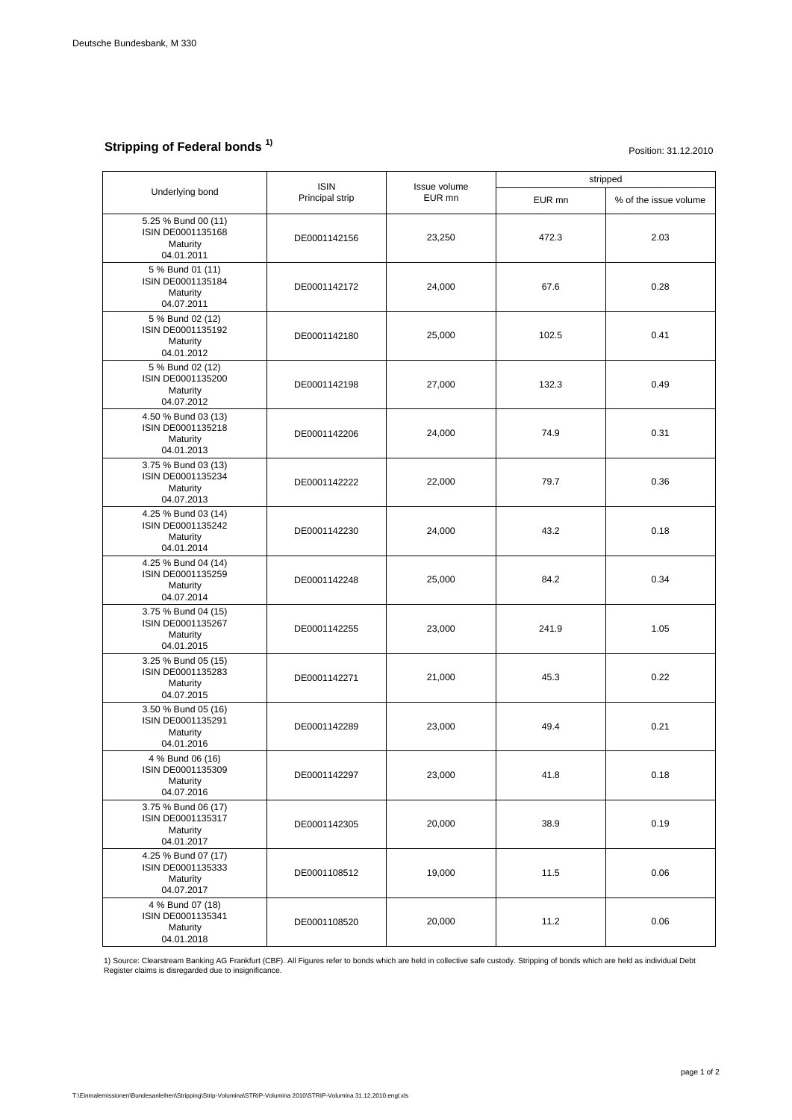## **Stripping of Federal bonds 1)**

## Position: 31.12.2010

| Underlying bond                                                    | <b>ISIN</b><br>Principal strip | Issue volume<br>EUR mn | stripped |                       |
|--------------------------------------------------------------------|--------------------------------|------------------------|----------|-----------------------|
|                                                                    |                                |                        | EUR mn   | % of the issue volume |
| 5.25 % Bund 00 (11)<br>ISIN DE0001135168<br>Maturity<br>04.01.2011 | DE0001142156                   | 23.250                 | 472.3    | 2.03                  |
| 5 % Bund 01 (11)<br>ISIN DE0001135184<br>Maturity<br>04.07.2011    | DE0001142172                   | 24,000                 | 67.6     | 0.28                  |
| 5 % Bund 02 (12)<br>ISIN DE0001135192<br>Maturity<br>04.01.2012    | DE0001142180                   | 25,000                 | 102.5    | 0.41                  |
| 5 % Bund 02 (12)<br>ISIN DE0001135200<br>Maturity<br>04.07.2012    | DE0001142198                   | 27,000                 | 132.3    | 0.49                  |
| 4.50 % Bund 03 (13)<br>ISIN DE0001135218<br>Maturity<br>04.01.2013 | DE0001142206                   | 24,000                 | 74.9     | 0.31                  |
| 3.75 % Bund 03 (13)<br>ISIN DE0001135234<br>Maturity<br>04.07.2013 | DE0001142222                   | 22,000                 | 79.7     | 0.36                  |
| 4.25 % Bund 03 (14)<br>ISIN DE0001135242<br>Maturity<br>04.01.2014 | DE0001142230                   | 24,000                 | 43.2     | 0.18                  |
| 4.25 % Bund 04 (14)<br>ISIN DE0001135259<br>Maturity<br>04.07.2014 | DE0001142248                   | 25,000                 | 84.2     | 0.34                  |
| 3.75 % Bund 04 (15)<br>ISIN DE0001135267<br>Maturity<br>04.01.2015 | DE0001142255                   | 23,000                 | 241.9    | 1.05                  |
| 3.25 % Bund 05 (15)<br>ISIN DE0001135283<br>Maturity<br>04.07.2015 | DE0001142271                   | 21,000                 | 45.3     | 0.22                  |
| 3.50 % Bund 05 (16)<br>ISIN DE0001135291<br>Maturity<br>04.01.2016 | DE0001142289                   | 23,000                 | 49.4     | 0.21                  |
| 4 % Bund 06 (16)<br>ISIN DE0001135309<br>Maturity<br>04.07.2016    | DE0001142297                   | 23,000                 | 41.8     | 0.18                  |
| 3.75 % Bund 06 (17)<br>ISIN DE0001135317<br>Maturity<br>04.01.2017 | DE0001142305                   | 20,000                 | 38.9     | 0.19                  |
| 4.25 % Bund 07 (17)<br>ISIN DE0001135333<br>Maturity<br>04.07.2017 | DE0001108512                   | 19,000                 | 11.5     | 0.06                  |
| 4 % Bund 07 (18)<br>ISIN DE0001135341<br>Maturity<br>04.01.2018    | DE0001108520                   | 20,000                 | 11.2     | 0.06                  |

1) Source: Clearstream Banking AG Frankfurt (CBF). All Figures refer to bonds which are held in collective safe custody. Stripping of bonds which are held as individual Debt<br>Register claims is disregarded due to insignific